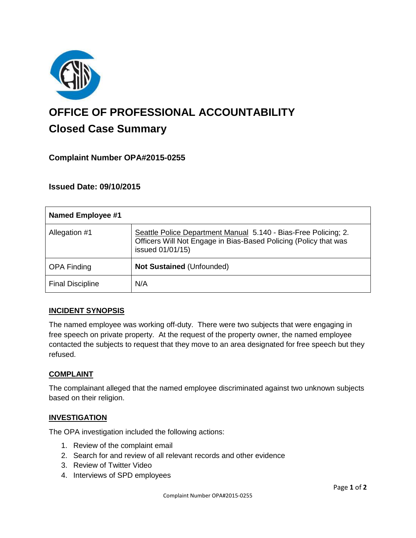

# **OFFICE OF PROFESSIONAL ACCOUNTABILITY Closed Case Summary**

## **Complaint Number OPA#2015-0255**

## **Issued Date: 09/10/2015**

| <b>Named Employee #1</b> |                                                                                                                                                         |
|--------------------------|---------------------------------------------------------------------------------------------------------------------------------------------------------|
| Allegation #1            | Seattle Police Department Manual 5.140 - Bias-Free Policing; 2.<br>Officers Will Not Engage in Bias-Based Policing (Policy that was<br>issued 01/01/15) |
| <b>OPA Finding</b>       | Not Sustained (Unfounded)                                                                                                                               |
| <b>Final Discipline</b>  | N/A                                                                                                                                                     |

### **INCIDENT SYNOPSIS**

The named employee was working off-duty. There were two subjects that were engaging in free speech on private property. At the request of the property owner, the named employee contacted the subjects to request that they move to an area designated for free speech but they refused.

### **COMPLAINT**

The complainant alleged that the named employee discriminated against two unknown subjects based on their religion.

### **INVESTIGATION**

The OPA investigation included the following actions:

- 1. Review of the complaint email
- 2. Search for and review of all relevant records and other evidence
- 3. Review of Twitter Video
- 4. Interviews of SPD employees